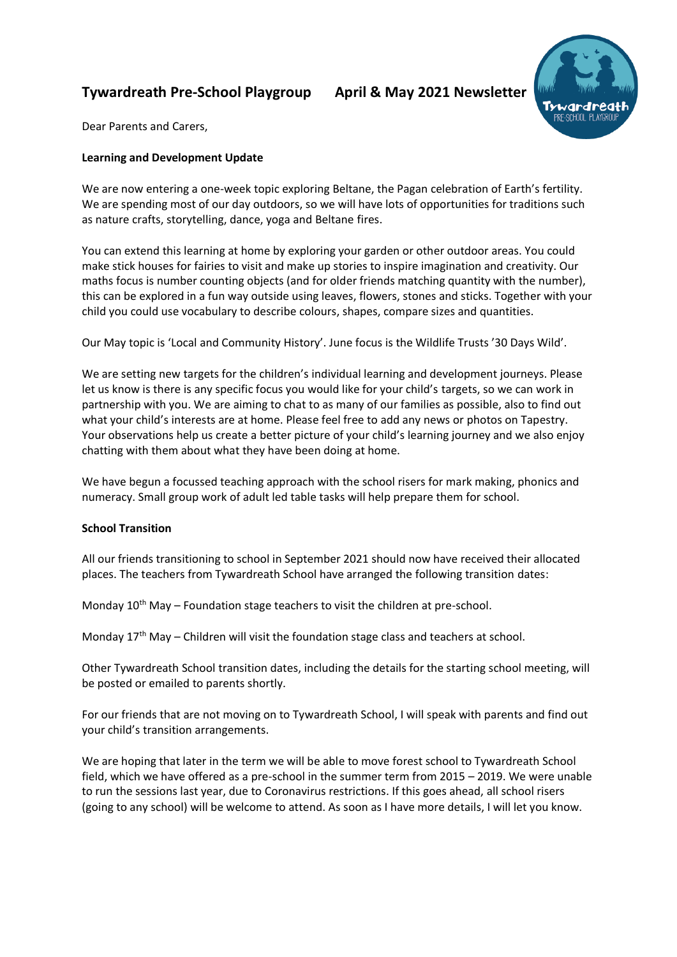# **Tywardreath Pre-School Playgroup April & May 2021 Newsletter**



Dear Parents and Carers,

# **Learning and Development Update**

We are now entering a one-week topic exploring Beltane, the Pagan celebration of Earth's fertility. We are spending most of our day outdoors, so we will have lots of opportunities for traditions such as nature crafts, storytelling, dance, yoga and Beltane fires.

You can extend this learning at home by exploring your garden or other outdoor areas. You could make stick houses for fairies to visit and make up stories to inspire imagination and creativity. Our maths focus is number counting objects (and for older friends matching quantity with the number), this can be explored in a fun way outside using leaves, flowers, stones and sticks. Together with your child you could use vocabulary to describe colours, shapes, compare sizes and quantities.

Our May topic is 'Local and Community History'. June focus is the Wildlife Trusts '30 Days Wild'.

We are setting new targets for the children's individual learning and development journeys. Please let us know is there is any specific focus you would like for your child's targets, so we can work in partnership with you. We are aiming to chat to as many of our families as possible, also to find out what your child's interests are at home. Please feel free to add any news or photos on Tapestry. Your observations help us create a better picture of your child's learning journey and we also enjoy chatting with them about what they have been doing at home.

We have begun a focussed teaching approach with the school risers for mark making, phonics and numeracy. Small group work of adult led table tasks will help prepare them for school.

## **School Transition**

All our friends transitioning to school in September 2021 should now have received their allocated places. The teachers from Tywardreath School have arranged the following transition dates:

Monday  $10^{th}$  May – Foundation stage teachers to visit the children at pre-school.

Monday  $17<sup>th</sup>$  May – Children will visit the foundation stage class and teachers at school.

Other Tywardreath School transition dates, including the details for the starting school meeting, will be posted or emailed to parents shortly.

For our friends that are not moving on to Tywardreath School, I will speak with parents and find out your child's transition arrangements.

We are hoping that later in the term we will be able to move forest school to Tywardreath School field, which we have offered as a pre-school in the summer term from 2015 – 2019. We were unable to run the sessions last year, due to Coronavirus restrictions. If this goes ahead, all school risers (going to any school) will be welcome to attend. As soon as I have more details, I will let you know.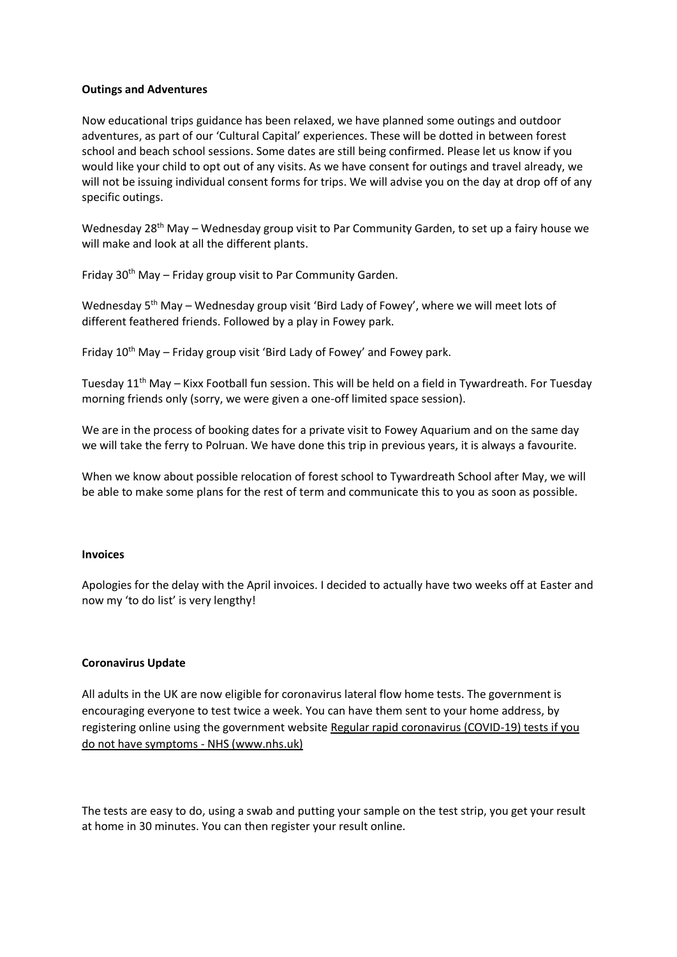### **Outings and Adventures**

Now educational trips guidance has been relaxed, we have planned some outings and outdoor adventures, as part of our 'Cultural Capital' experiences. These will be dotted in between forest school and beach school sessions. Some dates are still being confirmed. Please let us know if you would like your child to opt out of any visits. As we have consent for outings and travel already, we will not be issuing individual consent forms for trips. We will advise you on the day at drop off of any specific outings.

Wednesday 28<sup>th</sup> May – Wednesday group visit to Par Community Garden, to set up a fairy house we will make and look at all the different plants.

Friday  $30<sup>th</sup>$  May – Friday group visit to Par Community Garden.

Wednesday 5<sup>th</sup> May – Wednesday group visit 'Bird Lady of Fowey', where we will meet lots of different feathered friends. Followed by a play in Fowey park.

Friday  $10^{th}$  May – Friday group visit 'Bird Lady of Fowey' and Fowey park.

Tuesday 11<sup>th</sup> May – Kixx Football fun session. This will be held on a field in Tywardreath. For Tuesday morning friends only (sorry, we were given a one-off limited space session).

We are in the process of booking dates for a private visit to Fowey Aquarium and on the same day we will take the ferry to Polruan. We have done this trip in previous years, it is always a favourite.

When we know about possible relocation of forest school to Tywardreath School after May, we will be able to make some plans for the rest of term and communicate this to you as soon as possible.

#### **Invoices**

Apologies for the delay with the April invoices. I decided to actually have two weeks off at Easter and now my 'to do list' is very lengthy!

#### **Coronavirus Update**

All adults in the UK are now eligible for coronavirus lateral flow home tests. The government is encouraging everyone to test twice a week. You can have them sent to your home address, by registering online using the government website Regular rapid coronavirus (COVID-19) tests if you [do not have symptoms -](https://www.nhs.uk/conditions/coronavirus-covid-19/testing/regular-rapid-coronavirus-tests-if-you-do-not-have-symptoms/) NHS (www.nhs.uk)

The tests are easy to do, using a swab and putting your sample on the test strip, you get your result at home in 30 minutes. You can then register your result online.